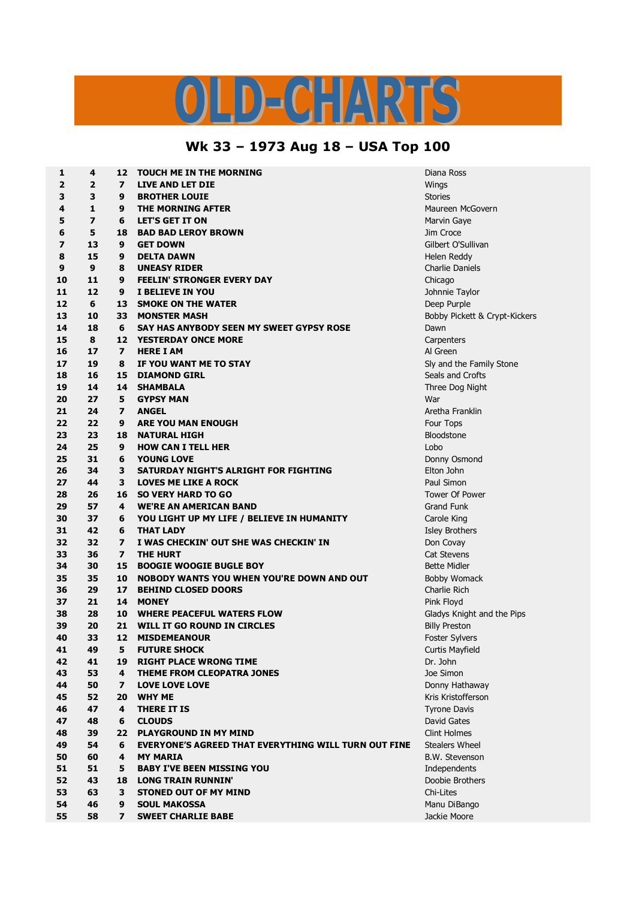## LD-CHARTS

## **Wk 33 – 1973 Aug 18 – USA Top 100**

| 1  | 4                       | 12                      | <b>TOUCH ME IN THE MORNING</b>                              | Diana Ross                    |
|----|-------------------------|-------------------------|-------------------------------------------------------------|-------------------------------|
| 2  | $\overline{2}$          | $\overline{ }$          | LIVE AND LET DIE                                            | Wings                         |
| 3  | 3                       | 9                       | <b>BROTHER LOUIE</b>                                        | <b>Stories</b>                |
| 4  | $\mathbf{1}$            | 9                       | THE MORNING AFTER                                           | Maureen McGovern              |
| 5  | $\overline{\mathbf{z}}$ | 6                       | <b>LET'S GET IT ON</b>                                      | Marvin Gaye                   |
| 6  | 5                       | 18                      | <b>BAD BAD LEROY BROWN</b>                                  | Jim Croce                     |
| 7  | 13                      | 9                       | <b>GET DOWN</b>                                             | Gilbert O'Sullivan            |
| 8  | 15                      | 9                       | <b>DELTA DAWN</b>                                           | Helen Reddy                   |
| 9  | 9                       | 8                       | <b>UNEASY RIDER</b>                                         | Charlie Daniels               |
| 10 | 11                      | 9                       | <b>FEELIN' STRONGER EVERY DAY</b>                           | Chicago                       |
| 11 | 12                      | 9                       | I BELIEVE IN YOU                                            | Johnnie Taylor                |
| 12 | 6                       | 13                      | <b>SMOKE ON THE WATER</b>                                   | Deep Purple                   |
| 13 | 10                      | 33                      | <b>MONSTER MASH</b>                                         | Bobby Pickett & Crypt-Kickers |
| 14 | 18                      | 6                       | SAY HAS ANYBODY SEEN MY SWEET GYPSY ROSE                    | Dawn                          |
| 15 | 8                       |                         | <b>12 YESTERDAY ONCE MORE</b>                               | Carpenters                    |
| 16 | 17                      | $\overline{ }$          | <b>HERE I AM</b>                                            | Al Green                      |
| 17 | 19                      | 8                       | IF YOU WANT ME TO STAY                                      | Sly and the Family Stone      |
| 18 | 16                      | 15                      | <b>DIAMOND GIRL</b>                                         | Seals and Crofts              |
| 19 | 14                      | 14                      | <b>SHAMBALA</b>                                             | Three Dog Night               |
| 20 | 27                      | 5                       | <b>GYPSY MAN</b>                                            | War                           |
| 21 | 24                      | $\overline{ }$          | <b>ANGEL</b>                                                | Aretha Franklin               |
| 22 | 22                      | 9                       | <b>ARE YOU MAN ENOUGH</b>                                   | Four Tops                     |
| 23 | 23                      | 18                      | NATURAL HIGH                                                | Bloodstone                    |
| 24 | 25                      | 9                       | <b>HOW CAN I TELL HER</b>                                   | Lobo                          |
| 25 | 31                      |                         |                                                             |                               |
|    |                         | 6                       | <b>YOUNG LOVE</b>                                           | Donny Osmond                  |
| 26 | 34                      | 3                       | SATURDAY NIGHT'S ALRIGHT FOR FIGHTING                       | Elton John                    |
| 27 | 44                      | 3                       | <b>LOVES ME LIKE A ROCK</b>                                 | Paul Simon                    |
| 28 | 26                      | 16                      | <b>SO VERY HARD TO GO</b>                                   | <b>Tower Of Power</b>         |
| 29 | 57                      | 4                       | <b>WE'RE AN AMERICAN BAND</b>                               | <b>Grand Funk</b>             |
| 30 | 37                      | 6                       | YOU LIGHT UP MY LIFE / BELIEVE IN HUMANITY                  | Carole King                   |
| 31 | 42                      | 6                       | <b>THAT LADY</b>                                            | <b>Isley Brothers</b>         |
| 32 | 32                      | $\overline{ }$          | I WAS CHECKIN' OUT SHE WAS CHECKIN' IN                      | Don Covay                     |
| 33 | 36                      | $\overline{ }$          | <b>THE HURT</b>                                             | <b>Cat Stevens</b>            |
| 34 | 30                      | 15                      | <b>BOOGIE WOOGIE BUGLE BOY</b>                              | <b>Bette Midler</b>           |
| 35 | 35                      | 10                      | NOBODY WANTS YOU WHEN YOU'RE DOWN AND OUT                   | <b>Bobby Womack</b>           |
| 36 | 29                      | 17                      | <b>BEHIND CLOSED DOORS</b>                                  | Charlie Rich                  |
| 37 | 21                      | 14                      | <b>MONEY</b>                                                | Pink Floyd                    |
| 38 | 28                      | 10                      | WHERE PEACEFUL WATERS FLOW                                  | Gladys Knight and the Pips    |
| 39 | 20                      | 21                      | WILL IT GO ROUND IN CIRCLES                                 | <b>Billy Preston</b>          |
| 40 | 33                      | 12                      | <b>MISDEMEANOUR</b>                                         | Foster Sylvers                |
| 41 | 49                      | 5                       | <b>FUTURE SHOCK</b>                                         | Curtis Mayfield               |
| 42 | 41                      | 19                      | <b>RIGHT PLACE WRONG TIME</b>                               | Dr. John                      |
| 43 | 53                      | 4                       | <b>THEME FROM CLEOPATRA JONES</b>                           | Joe Simon                     |
| 44 | 50                      | $\overline{ }$          | <b>LOVE LOVE LOVE</b>                                       | Donny Hathaway                |
| 45 | 52                      | 20                      | <b>WHY ME</b>                                               | Kris Kristofferson            |
| 46 | 47                      | 4                       | <b>THERE IT IS</b>                                          | <b>Tyrone Davis</b>           |
| 47 | 48                      | 6                       | <b>CLOUDS</b>                                               | David Gates                   |
| 48 | 39                      | 22                      | <b>PLAYGROUND IN MY MIND</b>                                | <b>Clint Holmes</b>           |
| 49 | 54                      | 6                       | <b>EVERYONE'S AGREED THAT EVERYTHING WILL TURN OUT FINE</b> | <b>Stealers Wheel</b>         |
| 50 | 60                      | $\overline{\mathbf{4}}$ | <b>MY MARIA</b>                                             | <b>B.W. Stevenson</b>         |
| 51 | 51                      | 5                       | <b>BABY I'VE BEEN MISSING YOU</b>                           | Independents                  |
| 52 | 43                      | 18                      | <b>LONG TRAIN RUNNIN'</b>                                   | Doobie Brothers               |
| 53 | 63                      | 3                       | <b>STONED OUT OF MY MIND</b>                                | Chi-Lites                     |
| 54 | 46                      | 9                       | <b>SOUL MAKOSSA</b>                                         | Manu DiBango                  |
| 55 | 58                      | $\overline{ }$          | <b>SWEET CHARLIE BABE</b>                                   | Jackie Moore                  |